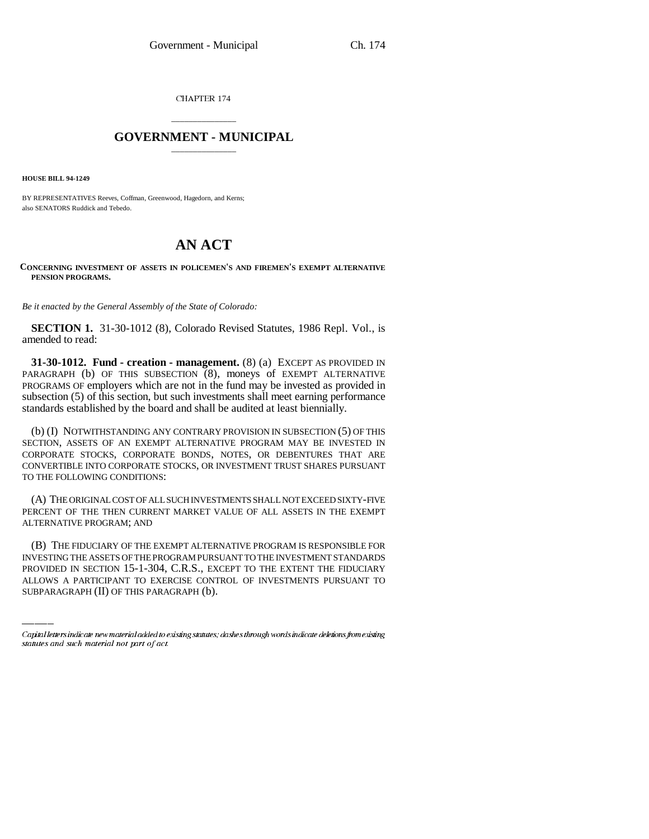CHAPTER 174

## \_\_\_\_\_\_\_\_\_\_\_\_\_\_\_ **GOVERNMENT - MUNICIPAL** \_\_\_\_\_\_\_\_\_\_\_\_\_\_\_

**HOUSE BILL 94-1249**

BY REPRESENTATIVES Reeves, Coffman, Greenwood, Hagedorn, and Kerns; also SENATORS Ruddick and Tebedo.

## **AN ACT**

## **CONCERNING INVESTMENT OF ASSETS IN POLICEMEN'S AND FIREMEN'S EXEMPT ALTERNATIVE PENSION PROGRAMS.**

*Be it enacted by the General Assembly of the State of Colorado:*

**SECTION 1.** 31-30-1012 (8), Colorado Revised Statutes, 1986 Repl. Vol., is amended to read:

**31-30-1012. Fund - creation - management.** (8) (a) EXCEPT AS PROVIDED IN PARAGRAPH (b) OF THIS SUBSECTION (8), moneys of EXEMPT ALTERNATIVE PROGRAMS OF employers which are not in the fund may be invested as provided in subsection (5) of this section, but such investments shall meet earning performance standards established by the board and shall be audited at least biennially.

(b) (I) NOTWITHSTANDING ANY CONTRARY PROVISION IN SUBSECTION (5) OF THIS SECTION, ASSETS OF AN EXEMPT ALTERNATIVE PROGRAM MAY BE INVESTED IN CORPORATE STOCKS, CORPORATE BONDS, NOTES, OR DEBENTURES THAT ARE CONVERTIBLE INTO CORPORATE STOCKS, OR INVESTMENT TRUST SHARES PURSUANT TO THE FOLLOWING CONDITIONS:

(A) THE ORIGINAL COST OF ALL SUCH INVESTMENTS SHALL NOT EXCEED SIXTY-FIVE PERCENT OF THE THEN CURRENT MARKET VALUE OF ALL ASSETS IN THE EXEMPT ALTERNATIVE PROGRAM; AND

(B) THE FIDUCIARY OF THE EXEMPT ALTERNATIVE PROGRAM IS RESPONSIBLE FOR INVESTING THE ASSETS OF THE PROGRAM PURSUANT TO THE INVESTMENT STANDARDS PROVIDED IN SECTION 15-1-304, C.R.S., EXCEPT TO THE EXTENT THE FIDUCIARY ALLOWS A PARTICIPANT TO EXERCISE CONTROL OF INVESTMENTS PURSUANT TO SUBPARAGRAPH (II) OF THIS PARAGRAPH (b).

Capital letters indicate new material added to existing statutes; dashes through words indicate deletions from existing statutes and such material not part of act.